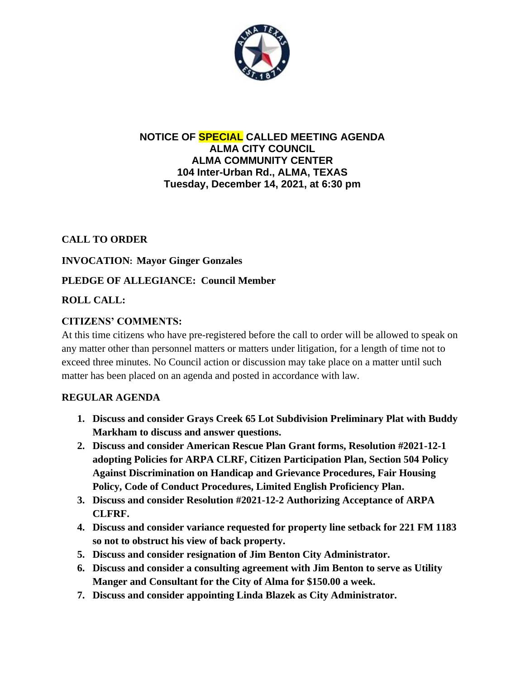

#### **NOTICE OF SPECIAL CALLED MEETING AGENDA ALMA CITY COUNCIL ALMA COMMUNITY CENTER 104 Inter-Urban Rd., ALMA, TEXAS Tuesday, December 14, 2021, at 6:30 pm**

# **CALL TO ORDER**

#### **INVOCATION: Mayor Ginger Gonzales**

# **PLEDGE OF ALLEGIANCE: Council Member**

# **ROLL CALL:**

# **CITIZENS' COMMENTS:**

At this time citizens who have pre-registered before the call to order will be allowed to speak on any matter other than personnel matters or matters under litigation, for a length of time not to exceed three minutes. No Council action or discussion may take place on a matter until such matter has been placed on an agenda and posted in accordance with law.

#### **REGULAR AGENDA**

- **1. Discuss and consider Grays Creek 65 Lot Subdivision Preliminary Plat with Buddy Markham to discuss and answer questions.**
- **2. Discuss and consider American Rescue Plan Grant forms, Resolution #2021-12-1 adopting Policies for ARPA CLRF, Citizen Participation Plan, Section 504 Policy Against Discrimination on Handicap and Grievance Procedures, Fair Housing Policy, Code of Conduct Procedures, Limited English Proficiency Plan.**
- **3. Discuss and consider Resolution #2021-12-2 Authorizing Acceptance of ARPA CLFRF.**
- **4. Discuss and consider variance requested for property line setback for 221 FM 1183 so not to obstruct his view of back property.**
- **5. Discuss and consider resignation of Jim Benton City Administrator.**
- **6. Discuss and consider a consulting agreement with Jim Benton to serve as Utility Manger and Consultant for the City of Alma for \$150.00 a week.**
- **7. Discuss and consider appointing Linda Blazek as City Administrator.**